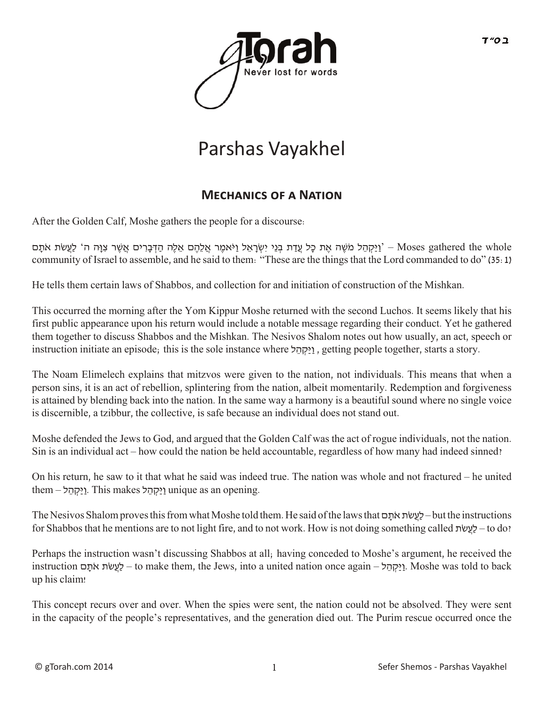

## Parshas Vayakhel

## **Mec�anics of a Nation**

After the Golden Calf, Moshe gathers the people for a discourse:

י וַיִּכְהָל מֹשֶׁה אֶת כָּל עֲדַת בְּנֵי יִשְׂרָאֵל וַיֹּאמֶר אֲלֶה הַדְּבָרִים אֲשֶׁר צִוָּה ה' לַעֲשֹׂת אֹתָם - Moses gathered the whole community of Israel to assemble, and he said to them: "These are the things that the Lord commanded to do" (35:1)

He tells them certain laws of Shabbos, and collection for and initiation of construction of the Mishkan.

This occurred the morning after the Yom Kippur Moshe returned with the second Luchos. It seems likely that his first public appearance upon his return would include a notable message regarding their conduct. Yet he gathered them together to discuss Shabbos and the Mishkan. The Nesivos Shalom notes out how usually, an act, speech or instruction initiate an episode; this is the sole instance where ל ֵה ְקַּיַו , getting people together, starts a story.

The Noam Elimelech explains that mitzvos were given to the nation, not individuals. This means that when a person sins, it is an act of rebellion, splintering from the nation, albeit momentarily. Redemption and forgiveness is attained by blending back into the nation. In the same way a harmony is a beautiful sound where no single voice is discernible, a tzibbur, the collective, is safe because an individual does not stand out.

Moshe defended the Jews to God, and argued that the Golden Calf was the act of rogue individuals, not the nation. Sin is an individual act – how could the nation be held accountable, regardless of how many had indeed sinned?

On his return, he saw to it that what he said was indeed true. The nation was whole and not fractured – he united them – וַיַּקְהֶל. This makes וַיַּקְהֶל unique as an opening.

The Nesivos Shalom proves this from what Moshe told them. He said of the laws that ם ָתֹא תֹׂשֲעַל – but the instructions for Shabbos that he mentions are to not light fire, and to not work. How is not doing something called תֹׂשֲעַל – to do?

Perhaps the instruction wasn't discussing Shabbos at all; having conceded to Moshe's argument, he received the instruction ם ָתֹא תֹׂשֲעַל – to make them, the Jews, into a united nation once again – ל ֵה ְקַּיַו. Moshe was told to back up his claim!

This concept recurs over and over. When the spies were sent, the nation could not be absolved. They were sent in the capacity of the people's representatives, and the generation died out. The Purim rescue occurred once the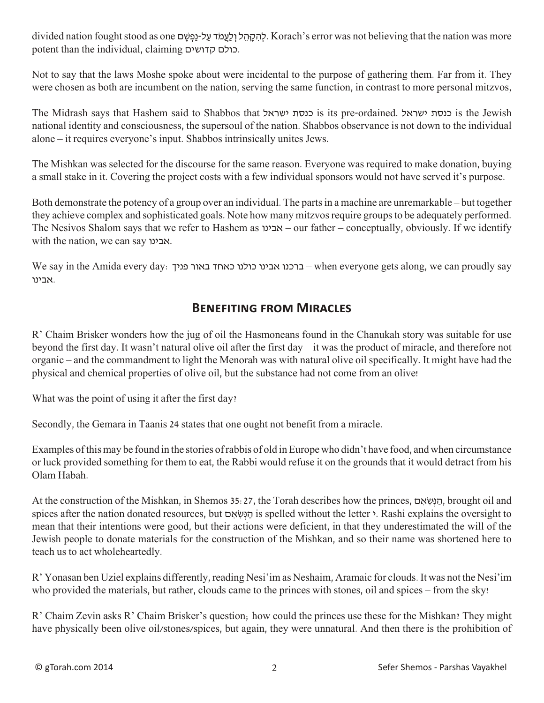divided nation fought stood as one לְהִקְהֵל וְלַעֲמֹד עַל-נַפְשָׁם. Korach's error was not believing that the nation was more potent than the individual, claiming קדושים כולם.

Not to say that the laws Moshe spoke about were incidental to the purpose of gathering them. Far from it. They were chosen as both are incumbent on the nation, serving the same function, in contrast to more personal mitzvos,

The Midrash says that Hashem said to Shabbos that ישראל כנסת is its pre-ordained. ישראל כנסת is the Jewish national identity and consciousness, the supersoul of the nation. Shabbos observance is not down to the individual alone – it requires everyone's input. Shabbos intrinsically unites Jews.

The Mishkan was selected for the discourse for the same reason. Everyone was required to make donation, buying a small stake in it. Covering the project costs with a few individual sponsors would not have served it's purpose.

Both demonstrate the potency of a group over an individual. The parts in a machine are unremarkable – but together they achieve complex and sophisticated goals. Note how many mitzvos require groups to be adequately performed. The Nesivos Shalom says that we refer to Hashem as אבינו – our father – conceptually, obviously. If we identify with the nation, we can say אבינו.

We say in the Amida every day: פניך באור כאחד כולנו אבינו ברכנו – when everyone gets along, we can proudly say .אבינו

## **Benefiting from Miracles**

R' Chaim Brisker wonders how the jug of oil the Hasmoneans found in the Chanukah story was suitable for use beyond the first day. It wasn't natural olive oil after the first day – it was the product of miracle, and therefore not organic – and the commandment to light the Menorah was with natural olive oil specifically. It might have had the physical and chemical properties of olive oil, but the substance had not come from an olive!

What was the point of using it after the first day?

Secondly, the Gemara in Taanis 24 states that one ought not benefit from a miracle.

Examples of this may be found in the stories of rabbis of old in Europe who didn't have food, and when circumstance or luck provided something for them to eat, the Rabbi would refuse it on the grounds that it would detract from his Olam Habah.

At the construction of the Mishkan, in Shemos 35:27, the Torah describes how the princes, ם ִאׂ ִשְּנ ַה, brought oil and spices after the nation donated resources, but הַנְשְׂאִם is spelled without the letter >. Rashi explains the oversight to mean that their intentions were good, but their actions were deficient, in that they underestimated the will of the Jewish people to donate materials for the construction of the Mishkan, and so their name was shortened here to teach us to act wholeheartedly.

R' Yonasan ben Uziel explains differently, reading Nesi'im as Neshaim, Aramaic for clouds. It was not the Nesi'im who provided the materials, but rather, clouds came to the princes with stones, oil and spices – from the sky!

R' Chaim Zevin asks R' Chaim Brisker's question; how could the princes use these for the Mishkan? They might have physically been olive oil/stones/spices, but again, they were unnatural. And then there is the prohibition of